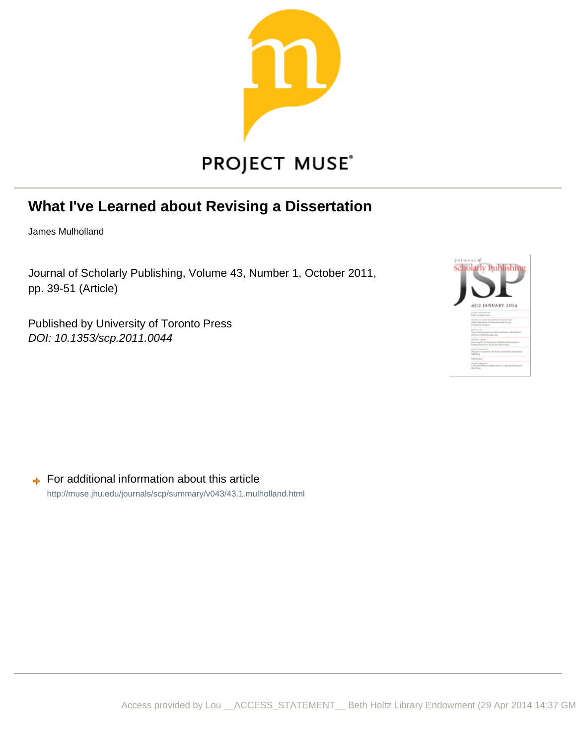

# **What I've Learned about Revising a Dissertation**

James Mulholland

Journal of Scholarly Publishing, Volume 43, Number 1, October 2011, pp. 39-51 (Article)

Published by University of Toronto Press DOI: 10.1353/scp.2011.0044



For additional information about this article  $\Rightarrow$ <http://muse.jhu.edu/journals/scp/summary/v043/43.1.mulholland.html>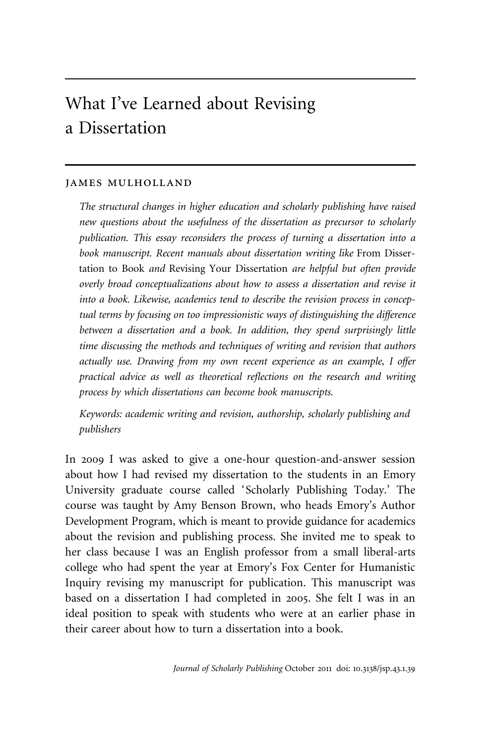# What I've Learned about Revising a Dissertation

#### james mulholland

The structural changes in higher education and scholarly publishing have raised new questions about the usefulness of the dissertation as precursor to scholarly publication. This essay reconsiders the process of turning a dissertation into a book manuscript. Recent manuals about dissertation writing like From Dissertation to Book and Revising Your Dissertation are helpful but often provide overly broad conceptualizations about how to assess a dissertation and revise it into a book. Likewise, academics tend to describe the revision process in conceptual terms by focusing on too impressionistic ways of distinguishing the difference between a dissertation and a book. In addition, they spend surprisingly little time discussing the methods and techniques of writing and revision that authors actually use. Drawing from my own recent experience as an example, I offer practical advice as well as theoretical reflections on the research and writing process by which dissertations can become book manuscripts.

Keywords: academic writing and revision, authorship, scholarly publishing and publishers

In 2009 I was asked to give a one-hour question-and-answer session about how I had revised my dissertation to the students in an Emory University graduate course called 'Scholarly Publishing Today.' The course was taught by Amy Benson Brown, who heads Emory's Author Development Program, which is meant to provide guidance for academics about the revision and publishing process. She invited me to speak to her class because I was an English professor from a small liberal-arts college who had spent the year at Emory's Fox Center for Humanistic Inquiry revising my manuscript for publication. This manuscript was based on a dissertation I had completed in 2005. She felt I was in an ideal position to speak with students who were at an earlier phase in their career about how to turn a dissertation into a book.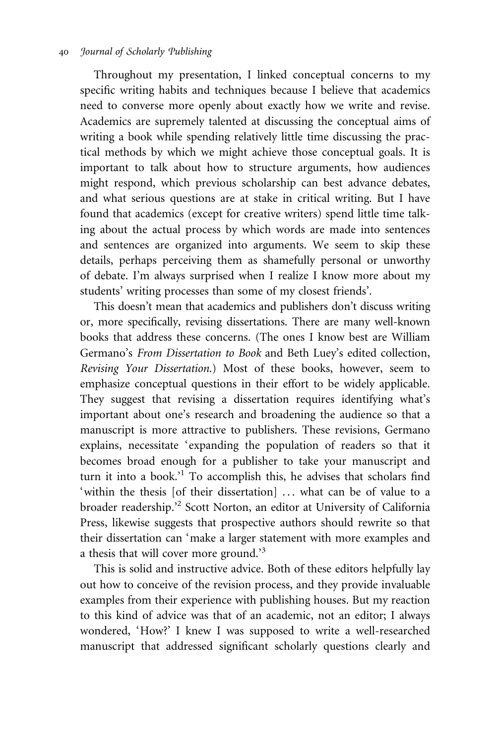Throughout my presentation, I linked conceptual concerns to my specific writing habits and techniques because I believe that academics need to converse more openly about exactly how we write and revise. Academics are supremely talented at discussing the conceptual aims of writing a book while spending relatively little time discussing the practical methods by which we might achieve those conceptual goals. It is important to talk about how to structure arguments, how audiences might respond, which previous scholarship can best advance debates, and what serious questions are at stake in critical writing. But I have found that academics (except for creative writers) spend little time talking about the actual process by which words are made into sentences and sentences are organized into arguments. We seem to skip these details, perhaps perceiving them as shamefully personal or unworthy of debate. I'm always surprised when I realize I know more about my students' writing processes than some of my closest friends'.

This doesn't mean that academics and publishers don't discuss writing or, more specifically, revising dissertations. There are many well-known books that address these concerns. (The ones I know best are William Germano's From Dissertation to Book and Beth Luey's edited collection, Revising Your Dissertation.) Most of these books, however, seem to emphasize conceptual questions in their effort to be widely applicable. They suggest that revising a dissertation requires identifying what's important about one's research and broadening the audience so that a manuscript is more attractive to publishers. These revisions, Germano explains, necessitate 'expanding the population of readers so that it becomes broad enough for a publisher to take your manuscript and turn it into a book.'<sup>1</sup> To accomplish this, he advises that scholars find 'within the thesis [of their dissertation] ... what can be of value to a broader readership.'<sup>2</sup> Scott Norton, an editor at University of California Press, likewise suggests that prospective authors should rewrite so that their dissertation can 'make a larger statement with more examples and a thesis that will cover more ground.'<sup>3</sup>

This is solid and instructive advice. Both of these editors helpfully lay out how to conceive of the revision process, and they provide invaluable examples from their experience with publishing houses. But my reaction to this kind of advice was that of an academic, not an editor; I always wondered, 'How?' I knew I was supposed to write a well-researched manuscript that addressed significant scholarly questions clearly and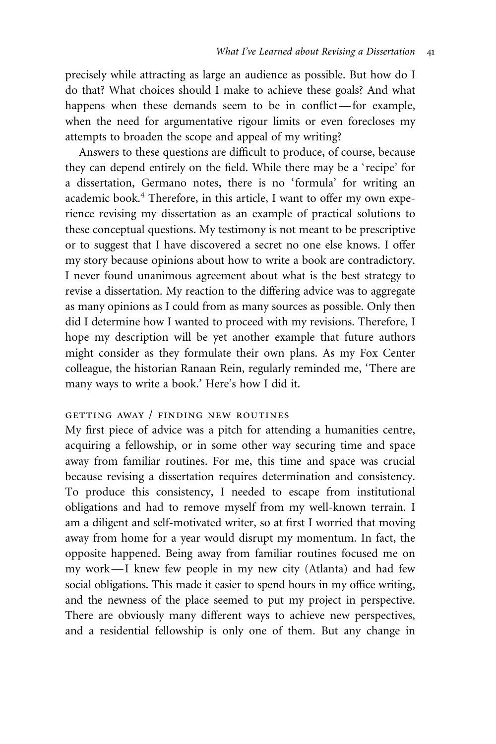precisely while attracting as large an audience as possible. But how do I do that? What choices should I make to achieve these goals? And what happens when these demands seem to be in conflict—for example, when the need for argumentative rigour limits or even forecloses my attempts to broaden the scope and appeal of my writing?

Answers to these questions are difficult to produce, of course, because they can depend entirely on the field. While there may be a 'recipe' for a dissertation, Germano notes, there is no 'formula' for writing an academic book.<sup>4</sup> Therefore, in this article, I want to offer my own experience revising my dissertation as an example of practical solutions to these conceptual questions. My testimony is not meant to be prescriptive or to suggest that I have discovered a secret no one else knows. I offer my story because opinions about how to write a book are contradictory. I never found unanimous agreement about what is the best strategy to revise a dissertation. My reaction to the differing advice was to aggregate as many opinions as I could from as many sources as possible. Only then did I determine how I wanted to proceed with my revisions. Therefore, I hope my description will be yet another example that future authors might consider as they formulate their own plans. As my Fox Center colleague, the historian Ranaan Rein, regularly reminded me, 'There are many ways to write a book.' Here's how I did it.

#### getting away / finding new routines

My first piece of advice was a pitch for attending a humanities centre, acquiring a fellowship, or in some other way securing time and space away from familiar routines. For me, this time and space was crucial because revising a dissertation requires determination and consistency. To produce this consistency, I needed to escape from institutional obligations and had to remove myself from my well-known terrain. I am a diligent and self-motivated writer, so at first I worried that moving away from home for a year would disrupt my momentum. In fact, the opposite happened. Being away from familiar routines focused me on my work— I knew few people in my new city (Atlanta) and had few social obligations. This made it easier to spend hours in my office writing, and the newness of the place seemed to put my project in perspective. There are obviously many different ways to achieve new perspectives, and a residential fellowship is only one of them. But any change in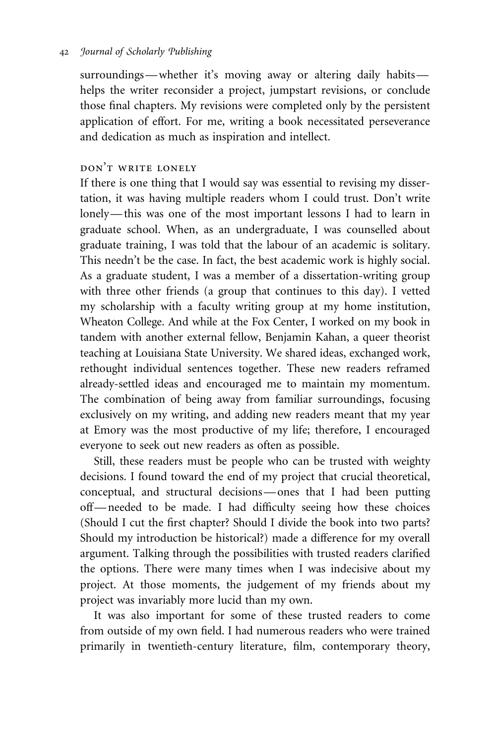#### 42 Journal of Scholarly Publishing

surroundings—whether it's moving away or altering daily habits helps the writer reconsider a project, jumpstart revisions, or conclude those final chapters. My revisions were completed only by the persistent application of effort. For me, writing a book necessitated perseverance and dedication as much as inspiration and intellect.

# don't write lonely

If there is one thing that I would say was essential to revising my dissertation, it was having multiple readers whom I could trust. Don't write lonely— this was one of the most important lessons I had to learn in graduate school. When, as an undergraduate, I was counselled about graduate training, I was told that the labour of an academic is solitary. This needn't be the case. In fact, the best academic work is highly social. As a graduate student, I was a member of a dissertation-writing group with three other friends (a group that continues to this day). I vetted my scholarship with a faculty writing group at my home institution, Wheaton College. And while at the Fox Center, I worked on my book in tandem with another external fellow, Benjamin Kahan, a queer theorist teaching at Louisiana State University. We shared ideas, exchanged work, rethought individual sentences together. These new readers reframed already-settled ideas and encouraged me to maintain my momentum. The combination of being away from familiar surroundings, focusing exclusively on my writing, and adding new readers meant that my year at Emory was the most productive of my life; therefore, I encouraged everyone to seek out new readers as often as possible.

Still, these readers must be people who can be trusted with weighty decisions. I found toward the end of my project that crucial theoretical, conceptual, and structural decisions— ones that I had been putting off— needed to be made. I had difficulty seeing how these choices (Should I cut the first chapter? Should I divide the book into two parts? Should my introduction be historical?) made a difference for my overall argument. Talking through the possibilities with trusted readers clarified the options. There were many times when I was indecisive about my project. At those moments, the judgement of my friends about my project was invariably more lucid than my own.

It was also important for some of these trusted readers to come from outside of my own field. I had numerous readers who were trained primarily in twentieth-century literature, film, contemporary theory,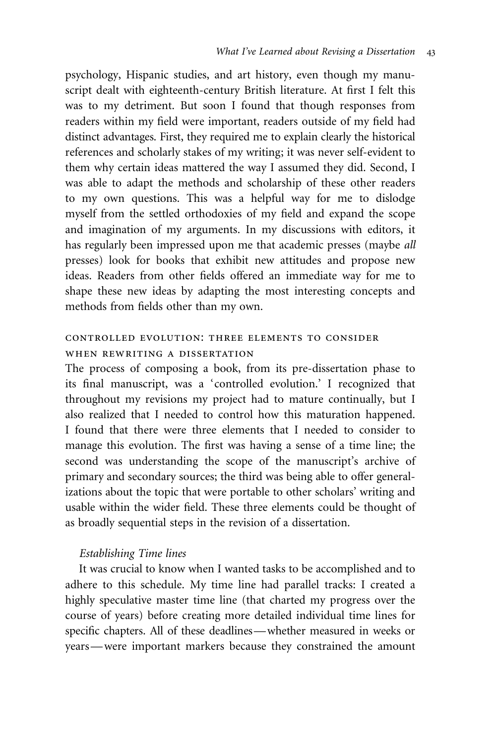psychology, Hispanic studies, and art history, even though my manuscript dealt with eighteenth-century British literature. At first I felt this was to my detriment. But soon I found that though responses from readers within my field were important, readers outside of my field had distinct advantages. First, they required me to explain clearly the historical references and scholarly stakes of my writing; it was never self-evident to them why certain ideas mattered the way I assumed they did. Second, I was able to adapt the methods and scholarship of these other readers to my own questions. This was a helpful way for me to dislodge myself from the settled orthodoxies of my field and expand the scope and imagination of my arguments. In my discussions with editors, it has regularly been impressed upon me that academic presses (maybe all presses) look for books that exhibit new attitudes and propose new ideas. Readers from other fields offered an immediate way for me to shape these new ideas by adapting the most interesting concepts and methods from fields other than my own.

# controlled evolution: three elements to consider when rewriting a dissertation

The process of composing a book, from its pre-dissertation phase to its final manuscript, was a 'controlled evolution.' I recognized that throughout my revisions my project had to mature continually, but I also realized that I needed to control how this maturation happened. I found that there were three elements that I needed to consider to manage this evolution. The first was having a sense of a time line; the second was understanding the scope of the manuscript's archive of primary and secondary sources; the third was being able to offer generalizations about the topic that were portable to other scholars' writing and usable within the wider field. These three elements could be thought of as broadly sequential steps in the revision of a dissertation.

#### Establishing Time lines

It was crucial to know when I wanted tasks to be accomplished and to adhere to this schedule. My time line had parallel tracks: I created a highly speculative master time line (that charted my progress over the course of years) before creating more detailed individual time lines for specific chapters. All of these deadlines—whether measured in weeks or years—were important markers because they constrained the amount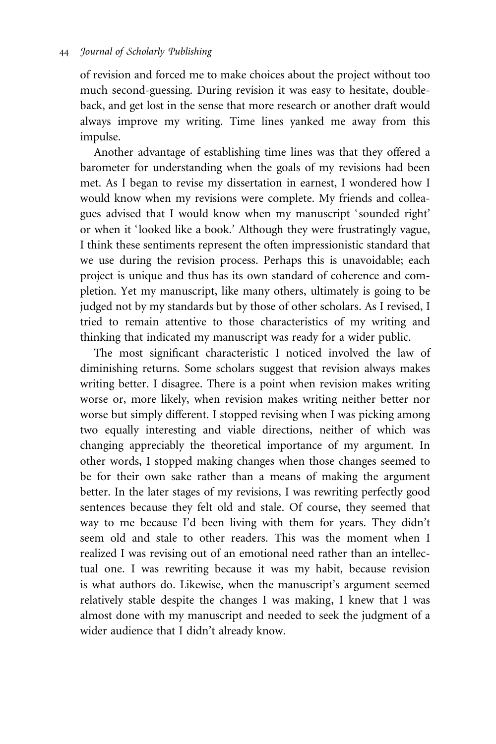of revision and forced me to make choices about the project without too much second-guessing. During revision it was easy to hesitate, doubleback, and get lost in the sense that more research or another draft would always improve my writing. Time lines yanked me away from this impulse.

Another advantage of establishing time lines was that they offered a barometer for understanding when the goals of my revisions had been met. As I began to revise my dissertation in earnest, I wondered how I would know when my revisions were complete. My friends and colleagues advised that I would know when my manuscript 'sounded right' or when it 'looked like a book.' Although they were frustratingly vague, I think these sentiments represent the often impressionistic standard that we use during the revision process. Perhaps this is unavoidable; each project is unique and thus has its own standard of coherence and completion. Yet my manuscript, like many others, ultimately is going to be judged not by my standards but by those of other scholars. As I revised, I tried to remain attentive to those characteristics of my writing and thinking that indicated my manuscript was ready for a wider public.

The most significant characteristic I noticed involved the law of diminishing returns. Some scholars suggest that revision always makes writing better. I disagree. There is a point when revision makes writing worse or, more likely, when revision makes writing neither better nor worse but simply different. I stopped revising when I was picking among two equally interesting and viable directions, neither of which was changing appreciably the theoretical importance of my argument. In other words, I stopped making changes when those changes seemed to be for their own sake rather than a means of making the argument better. In the later stages of my revisions, I was rewriting perfectly good sentences because they felt old and stale. Of course, they seemed that way to me because I'd been living with them for years. They didn't seem old and stale to other readers. This was the moment when I realized I was revising out of an emotional need rather than an intellectual one. I was rewriting because it was my habit, because revision is what authors do. Likewise, when the manuscript's argument seemed relatively stable despite the changes I was making, I knew that I was almost done with my manuscript and needed to seek the judgment of a wider audience that I didn't already know.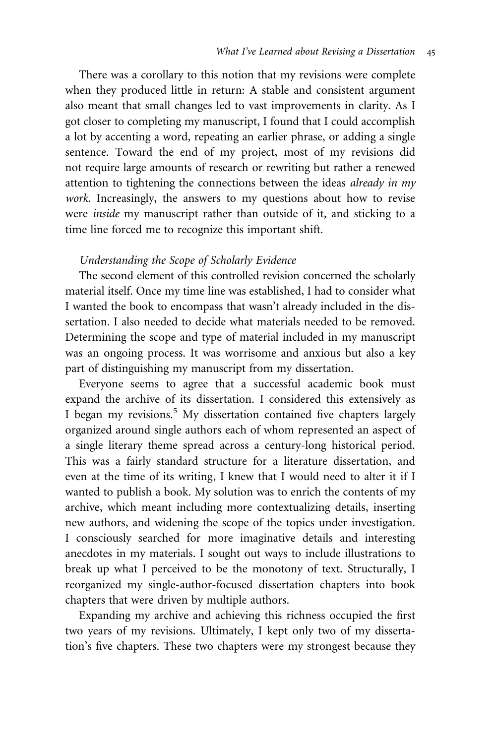There was a corollary to this notion that my revisions were complete when they produced little in return: A stable and consistent argument also meant that small changes led to vast improvements in clarity. As I got closer to completing my manuscript, I found that I could accomplish a lot by accenting a word, repeating an earlier phrase, or adding a single sentence. Toward the end of my project, most of my revisions did not require large amounts of research or rewriting but rather a renewed attention to tightening the connections between the ideas already in my work. Increasingly, the answers to my questions about how to revise were inside my manuscript rather than outside of it, and sticking to a time line forced me to recognize this important shift.

#### Understanding the Scope of Scholarly Evidence

The second element of this controlled revision concerned the scholarly material itself. Once my time line was established, I had to consider what I wanted the book to encompass that wasn't already included in the dissertation. I also needed to decide what materials needed to be removed. Determining the scope and type of material included in my manuscript was an ongoing process. It was worrisome and anxious but also a key part of distinguishing my manuscript from my dissertation.

Everyone seems to agree that a successful academic book must expand the archive of its dissertation. I considered this extensively as I began my revisions.<sup>5</sup> My dissertation contained five chapters largely organized around single authors each of whom represented an aspect of a single literary theme spread across a century-long historical period. This was a fairly standard structure for a literature dissertation, and even at the time of its writing, I knew that I would need to alter it if I wanted to publish a book. My solution was to enrich the contents of my archive, which meant including more contextualizing details, inserting new authors, and widening the scope of the topics under investigation. I consciously searched for more imaginative details and interesting anecdotes in my materials. I sought out ways to include illustrations to break up what I perceived to be the monotony of text. Structurally, I reorganized my single-author-focused dissertation chapters into book chapters that were driven by multiple authors.

Expanding my archive and achieving this richness occupied the first two years of my revisions. Ultimately, I kept only two of my dissertation's five chapters. These two chapters were my strongest because they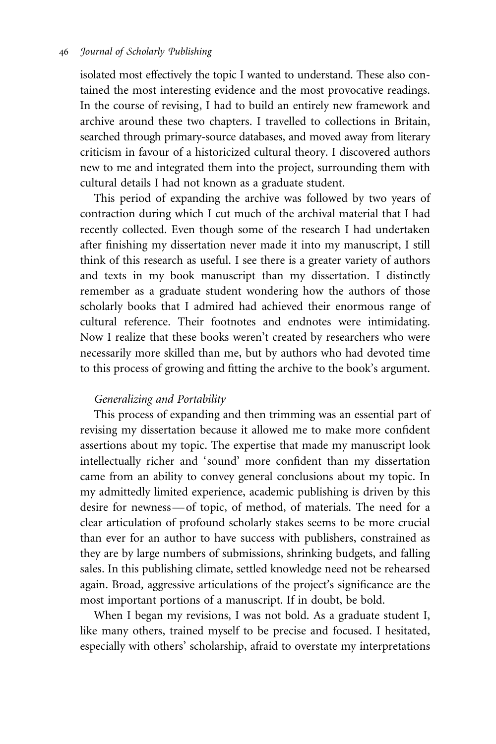#### 46 Journal of Scholarly Publishing

isolated most effectively the topic I wanted to understand. These also contained the most interesting evidence and the most provocative readings. In the course of revising, I had to build an entirely new framework and archive around these two chapters. I travelled to collections in Britain, searched through primary-source databases, and moved away from literary criticism in favour of a historicized cultural theory. I discovered authors new to me and integrated them into the project, surrounding them with cultural details I had not known as a graduate student.

This period of expanding the archive was followed by two years of contraction during which I cut much of the archival material that I had recently collected. Even though some of the research I had undertaken after finishing my dissertation never made it into my manuscript, I still think of this research as useful. I see there is a greater variety of authors and texts in my book manuscript than my dissertation. I distinctly remember as a graduate student wondering how the authors of those scholarly books that I admired had achieved their enormous range of cultural reference. Their footnotes and endnotes were intimidating. Now I realize that these books weren't created by researchers who were necessarily more skilled than me, but by authors who had devoted time to this process of growing and fitting the archive to the book's argument.

#### Generalizing and Portability

This process of expanding and then trimming was an essential part of revising my dissertation because it allowed me to make more confident assertions about my topic. The expertise that made my manuscript look intellectually richer and 'sound' more confident than my dissertation came from an ability to convey general conclusions about my topic. In my admittedly limited experience, academic publishing is driven by this desire for newness— of topic, of method, of materials. The need for a clear articulation of profound scholarly stakes seems to be more crucial than ever for an author to have success with publishers, constrained as they are by large numbers of submissions, shrinking budgets, and falling sales. In this publishing climate, settled knowledge need not be rehearsed again. Broad, aggressive articulations of the project's significance are the most important portions of a manuscript. If in doubt, be bold.

When I began my revisions, I was not bold. As a graduate student I, like many others, trained myself to be precise and focused. I hesitated, especially with others' scholarship, afraid to overstate my interpretations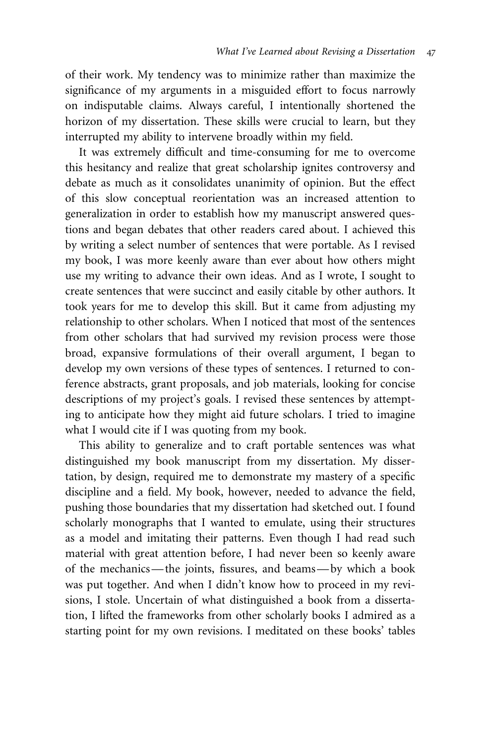of their work. My tendency was to minimize rather than maximize the significance of my arguments in a misguided effort to focus narrowly on indisputable claims. Always careful, I intentionally shortened the horizon of my dissertation. These skills were crucial to learn, but they interrupted my ability to intervene broadly within my field.

It was extremely difficult and time-consuming for me to overcome this hesitancy and realize that great scholarship ignites controversy and debate as much as it consolidates unanimity of opinion. But the effect of this slow conceptual reorientation was an increased attention to generalization in order to establish how my manuscript answered questions and began debates that other readers cared about. I achieved this by writing a select number of sentences that were portable. As I revised my book, I was more keenly aware than ever about how others might use my writing to advance their own ideas. And as I wrote, I sought to create sentences that were succinct and easily citable by other authors. It took years for me to develop this skill. But it came from adjusting my relationship to other scholars. When I noticed that most of the sentences from other scholars that had survived my revision process were those broad, expansive formulations of their overall argument, I began to develop my own versions of these types of sentences. I returned to conference abstracts, grant proposals, and job materials, looking for concise descriptions of my project's goals. I revised these sentences by attempting to anticipate how they might aid future scholars. I tried to imagine what I would cite if I was quoting from my book.

This ability to generalize and to craft portable sentences was what distinguished my book manuscript from my dissertation. My dissertation, by design, required me to demonstrate my mastery of a specific discipline and a field. My book, however, needed to advance the field, pushing those boundaries that my dissertation had sketched out. I found scholarly monographs that I wanted to emulate, using their structures as a model and imitating their patterns. Even though I had read such material with great attention before, I had never been so keenly aware of the mechanics— the joints, fissures, and beams— by which a book was put together. And when I didn't know how to proceed in my revisions, I stole. Uncertain of what distinguished a book from a dissertation, I lifted the frameworks from other scholarly books I admired as a starting point for my own revisions. I meditated on these books' tables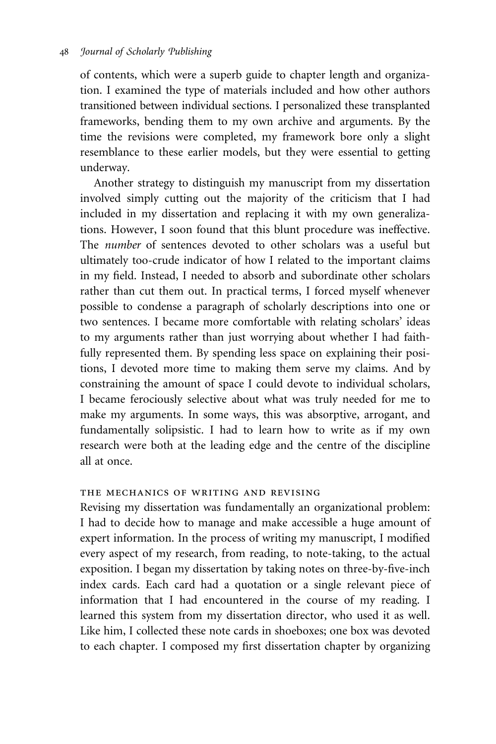#### 48 Journal of Scholarly Publishing

of contents, which were a superb guide to chapter length and organization. I examined the type of materials included and how other authors transitioned between individual sections. I personalized these transplanted frameworks, bending them to my own archive and arguments. By the time the revisions were completed, my framework bore only a slight resemblance to these earlier models, but they were essential to getting underway.

Another strategy to distinguish my manuscript from my dissertation involved simply cutting out the majority of the criticism that I had included in my dissertation and replacing it with my own generalizations. However, I soon found that this blunt procedure was ineffective. The number of sentences devoted to other scholars was a useful but ultimately too-crude indicator of how I related to the important claims in my field. Instead, I needed to absorb and subordinate other scholars rather than cut them out. In practical terms, I forced myself whenever possible to condense a paragraph of scholarly descriptions into one or two sentences. I became more comfortable with relating scholars' ideas to my arguments rather than just worrying about whether I had faithfully represented them. By spending less space on explaining their positions, I devoted more time to making them serve my claims. And by constraining the amount of space I could devote to individual scholars, I became ferociously selective about what was truly needed for me to make my arguments. In some ways, this was absorptive, arrogant, and fundamentally solipsistic. I had to learn how to write as if my own research were both at the leading edge and the centre of the discipline all at once.

### the mechanics of writing and revising

Revising my dissertation was fundamentally an organizational problem: I had to decide how to manage and make accessible a huge amount of expert information. In the process of writing my manuscript, I modified every aspect of my research, from reading, to note-taking, to the actual exposition. I began my dissertation by taking notes on three-by-five-inch index cards. Each card had a quotation or a single relevant piece of information that I had encountered in the course of my reading. I learned this system from my dissertation director, who used it as well. Like him, I collected these note cards in shoeboxes; one box was devoted to each chapter. I composed my first dissertation chapter by organizing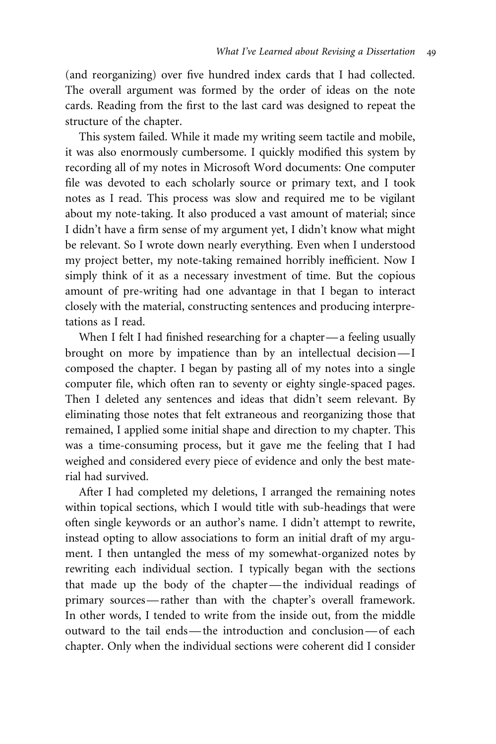(and reorganizing) over five hundred index cards that I had collected. The overall argument was formed by the order of ideas on the note cards. Reading from the first to the last card was designed to repeat the structure of the chapter.

This system failed. While it made my writing seem tactile and mobile, it was also enormously cumbersome. I quickly modified this system by recording all of my notes in Microsoft Word documents: One computer file was devoted to each scholarly source or primary text, and I took notes as I read. This process was slow and required me to be vigilant about my note-taking. It also produced a vast amount of material; since I didn't have a firm sense of my argument yet, I didn't know what might be relevant. So I wrote down nearly everything. Even when I understood my project better, my note-taking remained horribly inefficient. Now I simply think of it as a necessary investment of time. But the copious amount of pre-writing had one advantage in that I began to interact closely with the material, constructing sentences and producing interpretations as I read.

When I felt I had finished researching for a chapter—a feeling usually brought on more by impatience than by an intellectual decision— I composed the chapter. I began by pasting all of my notes into a single computer file, which often ran to seventy or eighty single-spaced pages. Then I deleted any sentences and ideas that didn't seem relevant. By eliminating those notes that felt extraneous and reorganizing those that remained, I applied some initial shape and direction to my chapter. This was a time-consuming process, but it gave me the feeling that I had weighed and considered every piece of evidence and only the best material had survived.

After I had completed my deletions, I arranged the remaining notes within topical sections, which I would title with sub-headings that were often single keywords or an author's name. I didn't attempt to rewrite, instead opting to allow associations to form an initial draft of my argument. I then untangled the mess of my somewhat-organized notes by rewriting each individual section. I typically began with the sections that made up the body of the chapter— the individual readings of primary sources— rather than with the chapter's overall framework. In other words, I tended to write from the inside out, from the middle outward to the tail ends— the introduction and conclusion— of each chapter. Only when the individual sections were coherent did I consider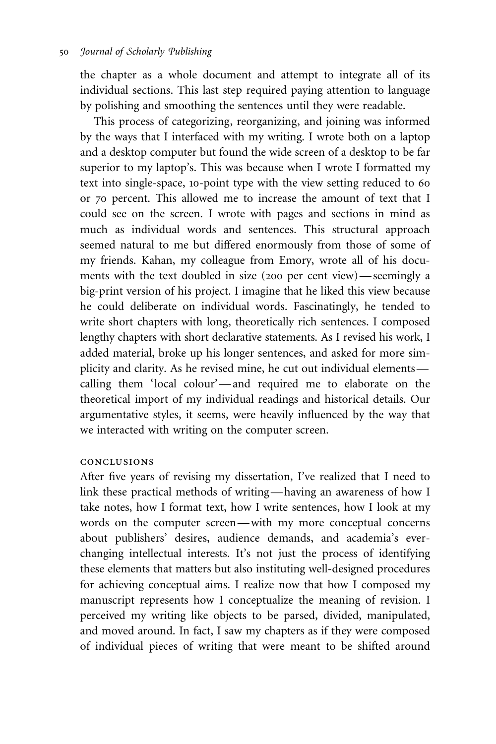the chapter as a whole document and attempt to integrate all of its individual sections. This last step required paying attention to language by polishing and smoothing the sentences until they were readable.

This process of categorizing, reorganizing, and joining was informed by the ways that I interfaced with my writing. I wrote both on a laptop and a desktop computer but found the wide screen of a desktop to be far superior to my laptop's. This was because when I wrote I formatted my text into single-space, 10-point type with the view setting reduced to 60 or 70 percent. This allowed me to increase the amount of text that I could see on the screen. I wrote with pages and sections in mind as much as individual words and sentences. This structural approach seemed natural to me but differed enormously from those of some of my friends. Kahan, my colleague from Emory, wrote all of his documents with the text doubled in size (200 per cent view)— seemingly a big-print version of his project. I imagine that he liked this view because he could deliberate on individual words. Fascinatingly, he tended to write short chapters with long, theoretically rich sentences. I composed lengthy chapters with short declarative statements. As I revised his work, I added material, broke up his longer sentences, and asked for more simplicity and clarity. As he revised mine, he cut out individual elements calling them 'local colour'— and required me to elaborate on the theoretical import of my individual readings and historical details. Our argumentative styles, it seems, were heavily influenced by the way that we interacted with writing on the computer screen.

#### conclusions

After five years of revising my dissertation, I've realized that I need to link these practical methods of writing— having an awareness of how I take notes, how I format text, how I write sentences, how I look at my words on the computer screen—with my more conceptual concerns about publishers' desires, audience demands, and academia's everchanging intellectual interests. It's not just the process of identifying these elements that matters but also instituting well-designed procedures for achieving conceptual aims. I realize now that how I composed my manuscript represents how I conceptualize the meaning of revision. I perceived my writing like objects to be parsed, divided, manipulated, and moved around. In fact, I saw my chapters as if they were composed of individual pieces of writing that were meant to be shifted around